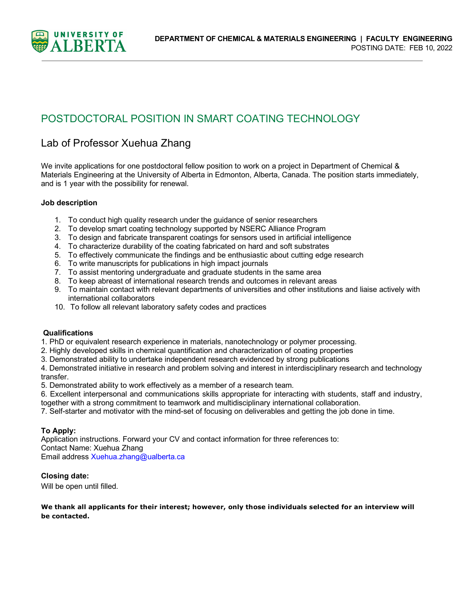

# POSTDOCTORAL POSITION IN SMART COATING TECHNOLOGY

## Lab of Professor Xuehua Zhang

We invite applications for one postdoctoral fellow position to work on a project in Department of Chemical & Materials Engineering at the University of Alberta in Edmonton, Alberta, Canada. The position starts immediately, and is 1 year with the possibility for renewal.

### **Job description**

- 1. To conduct high quality research under the guidance of senior researchers
- 2. To develop smart coating technology supported by NSERC Alliance Program
- 3. To design and fabricate transparent coatings for sensors used in artificial intelligence
- 4. To characterize durability of the coating fabricated on hard and soft substrates
- 5. To effectively communicate the findings and be enthusiastic about cutting edge research
- 6. To write manuscripts for publications in high impact journals
- 7. To assist mentoring undergraduate and graduate students in the same area
- 8. To keep abreast of international research trends and outcomes in relevant areas
- 9. To maintain contact with relevant departments of universities and other institutions and liaise actively with international collaborators
- 10. To follow all relevant laboratory safety codes and practices

#### **Qualifications**

1. PhD or equivalent research experience in materials, nanotechnology or polymer processing.

- 2. Highly developed skills in chemical quantification and characterization of coating properties
- 3. Demonstrated ability to undertake independent research evidenced by strong publications

4. Demonstrated initiative in research and problem solving and interest in interdisciplinary research and technology transfer.

- 5. Demonstrated ability to work effectively as a member of a research team.
- 6. Excellent interpersonal and communications skills appropriate for interacting with students, staff and industry,
- together with a strong commitment to teamwork and multidisciplinary international collaboration.
- 7. Self-starter and motivator with the mind-set of focusing on deliverables and getting the job done in time.

#### **To Apply:**

Application instructions. Forward your CV and contact information for three references to: Contact Name: Xuehua Zhang Email address Xuehua.zhang@ualberta.ca

#### **Closing date:**

Will be open until filled.

#### **We thank all applicants for their interest; however, only those individuals selected for an interview will be contacted.**